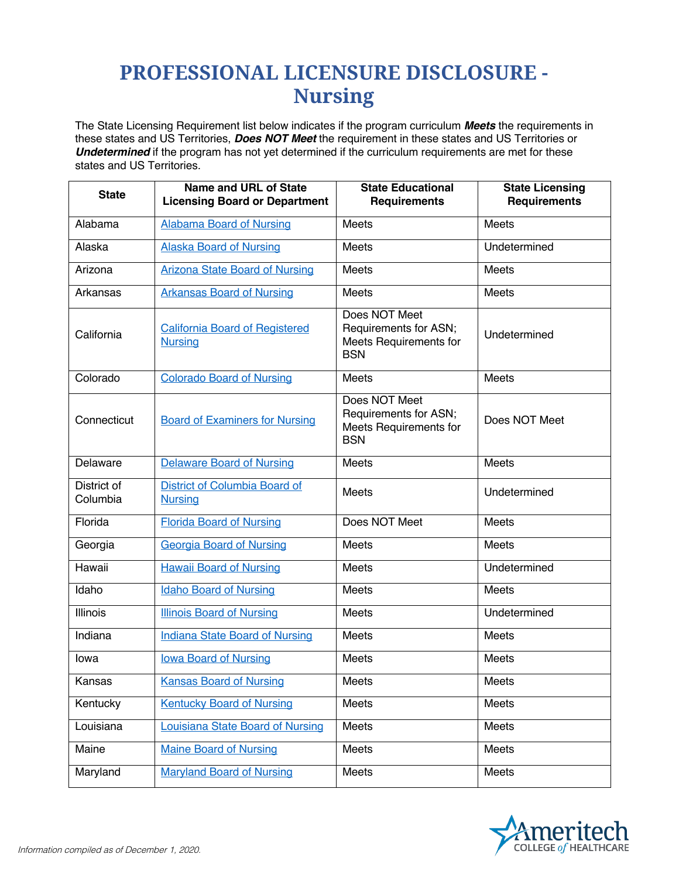## **PROFESSIONAL LICENSURE DISCLOSURE - Nursing**

The State Licensing Requirement list below indicates if the program curriculum *Meets* the requirements in these states and US Territories, *Does NOT Meet* the requirement in these states and US Territories or *Undetermined* if the program has not yet determined if the curriculum requirements are met for these states and US Territories.

| <b>State</b>            | Name and URL of State<br><b>Licensing Board or Department</b> | <b>State Educational</b><br><b>Requirements</b>                                       | <b>State Licensing</b><br><b>Requirements</b> |
|-------------------------|---------------------------------------------------------------|---------------------------------------------------------------------------------------|-----------------------------------------------|
| Alabama                 | <b>Alabama Board of Nursing</b>                               | <b>Meets</b>                                                                          | <b>Meets</b>                                  |
| Alaska                  | <b>Alaska Board of Nursing</b>                                | <b>Meets</b>                                                                          | Undetermined                                  |
| Arizona                 | <b>Arizona State Board of Nursing</b>                         | <b>Meets</b>                                                                          | <b>Meets</b>                                  |
| Arkansas                | <b>Arkansas Board of Nursing</b>                              | Meets                                                                                 | <b>Meets</b>                                  |
| California              | <b>California Board of Registered</b><br><b>Nursing</b>       | Does NOT Meet<br>Requirements for ASN;<br><b>Meets Requirements for</b><br><b>BSN</b> | Undetermined                                  |
| Colorado                | <b>Colorado Board of Nursing</b>                              | Meets                                                                                 | Meets                                         |
| Connecticut             | <b>Board of Examiners for Nursing</b>                         | Does NOT Meet<br>Requirements for ASN;<br>Meets Requirements for<br><b>BSN</b>        | Does NOT Meet                                 |
| Delaware                | <b>Delaware Board of Nursing</b>                              | <b>Meets</b>                                                                          | <b>Meets</b>                                  |
| District of<br>Columbia | District of Columbia Board of<br><b>Nursing</b>               | Meets                                                                                 | Undetermined                                  |
| Florida                 | <b>Florida Board of Nursing</b>                               | Does NOT Meet                                                                         | <b>Meets</b>                                  |
| Georgia                 | <b>Georgia Board of Nursing</b>                               | <b>Meets</b>                                                                          | <b>Meets</b>                                  |
| Hawaii                  | <b>Hawaii Board of Nursing</b>                                | Meets                                                                                 | Undetermined                                  |
| Idaho                   | <b>Idaho Board of Nursing</b>                                 | Meets                                                                                 | <b>Meets</b>                                  |
| <b>Illinois</b>         | <b>Illinois Board of Nursing</b>                              | Meets                                                                                 | Undetermined                                  |
| Indiana                 | <b>Indiana State Board of Nursing</b>                         | <b>Meets</b>                                                                          | <b>Meets</b>                                  |
| lowa                    | lowa Board of Nursing                                         | <b>Meets</b>                                                                          | <b>Meets</b>                                  |
| Kansas                  | <b>Kansas Board of Nursing</b>                                | Meets                                                                                 | Meets                                         |
| Kentucky                | <b>Kentucky Board of Nursing</b>                              | Meets                                                                                 | Meets                                         |
| Louisiana               | <b>Louisiana State Board of Nursing</b>                       | Meets                                                                                 | Meets                                         |
| Maine                   | <b>Maine Board of Nursing</b>                                 | Meets                                                                                 | Meets                                         |
| Maryland                | <b>Maryland Board of Nursing</b>                              | Meets                                                                                 | Meets                                         |

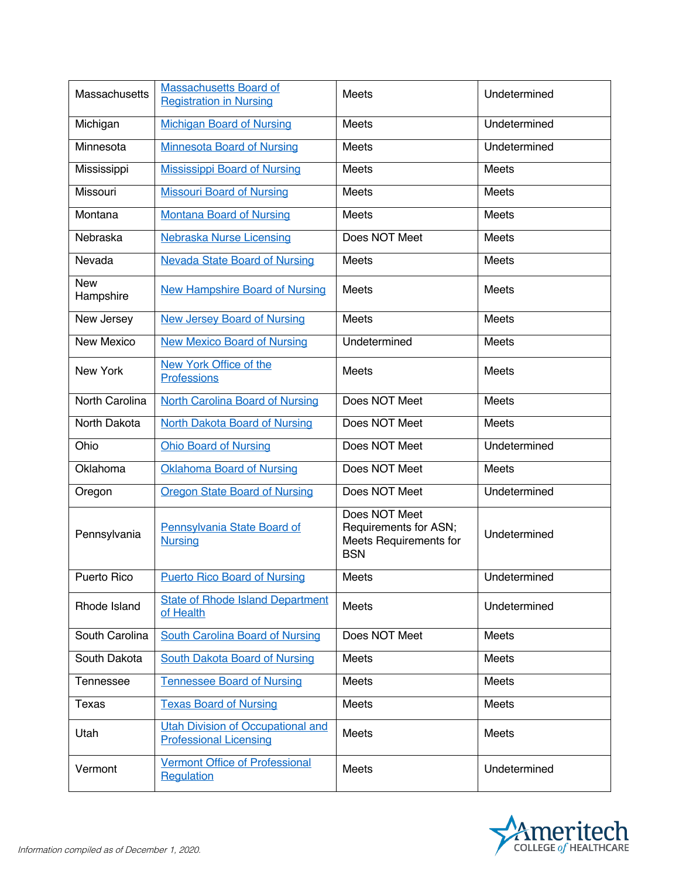| Massachusetts           | <b>Massachusetts Board of</b><br><b>Registration in Nursing</b>           | <b>Meets</b>                                                                   | Undetermined |
|-------------------------|---------------------------------------------------------------------------|--------------------------------------------------------------------------------|--------------|
| Michigan                | <b>Michigan Board of Nursing</b>                                          | Meets                                                                          | Undetermined |
| Minnesota               | <b>Minnesota Board of Nursing</b>                                         | Meets                                                                          | Undetermined |
| Mississippi             | <b>Mississippi Board of Nursing</b>                                       | Meets                                                                          | Meets        |
| Missouri                | <b>Missouri Board of Nursing</b>                                          | <b>Meets</b>                                                                   | <b>Meets</b> |
| Montana                 | <b>Montana Board of Nursing</b>                                           | Meets                                                                          | Meets        |
| Nebraska                | <b>Nebraska Nurse Licensing</b>                                           | Does NOT Meet                                                                  | Meets        |
| Nevada                  | <b>Nevada State Board of Nursing</b>                                      | Meets                                                                          | Meets        |
| <b>New</b><br>Hampshire | <b>New Hampshire Board of Nursing</b>                                     | Meets                                                                          | Meets        |
| New Jersey              | <b>New Jersey Board of Nursing</b>                                        | Meets                                                                          | Meets        |
| New Mexico              | <b>New Mexico Board of Nursing</b>                                        | Undetermined                                                                   | Meets        |
| <b>New York</b>         | New York Office of the<br><b>Professions</b>                              | Meets                                                                          | Meets        |
| North Carolina          | <b>North Carolina Board of Nursing</b>                                    | Does NOT Meet                                                                  | Meets        |
| North Dakota            | <b>North Dakota Board of Nursing</b>                                      | Does NOT Meet                                                                  | Meets        |
| Ohio                    | <b>Ohio Board of Nursing</b>                                              | Does NOT Meet                                                                  | Undetermined |
| Oklahoma                | Oklahoma Board of Nursing                                                 | Does NOT Meet                                                                  | Meets        |
| Oregon                  | <b>Oregon State Board of Nursing</b>                                      | Does NOT Meet                                                                  | Undetermined |
| Pennsylvania            | Pennsylvania State Board of<br><b>Nursing</b>                             | Does NOT Meet<br>Requirements for ASN;<br>Meets Requirements for<br><b>BSN</b> | Undetermined |
| Puerto Rico             | <b>Puerto Rico Board of Nursing</b>                                       | Meets                                                                          | Undetermined |
| Rhode Island            | <b>State of Rhode Island Department</b><br>of Health                      | Meets                                                                          | Undetermined |
| South Carolina          | <b>South Carolina Board of Nursing</b>                                    | Does NOT Meet                                                                  | Meets        |
| South Dakota            | <b>South Dakota Board of Nursing</b>                                      | Meets                                                                          | Meets        |
| Tennessee               | <b>Tennessee Board of Nursing</b>                                         | <b>Meets</b>                                                                   | <b>Meets</b> |
| Texas                   | <b>Texas Board of Nursing</b>                                             | Meets                                                                          | Meets        |
| Utah                    | <b>Utah Division of Occupational and</b><br><b>Professional Licensing</b> | Meets                                                                          | Meets        |
| Vermont                 | <b>Vermont Office of Professional</b><br>Regulation                       | Meets                                                                          | Undetermined |